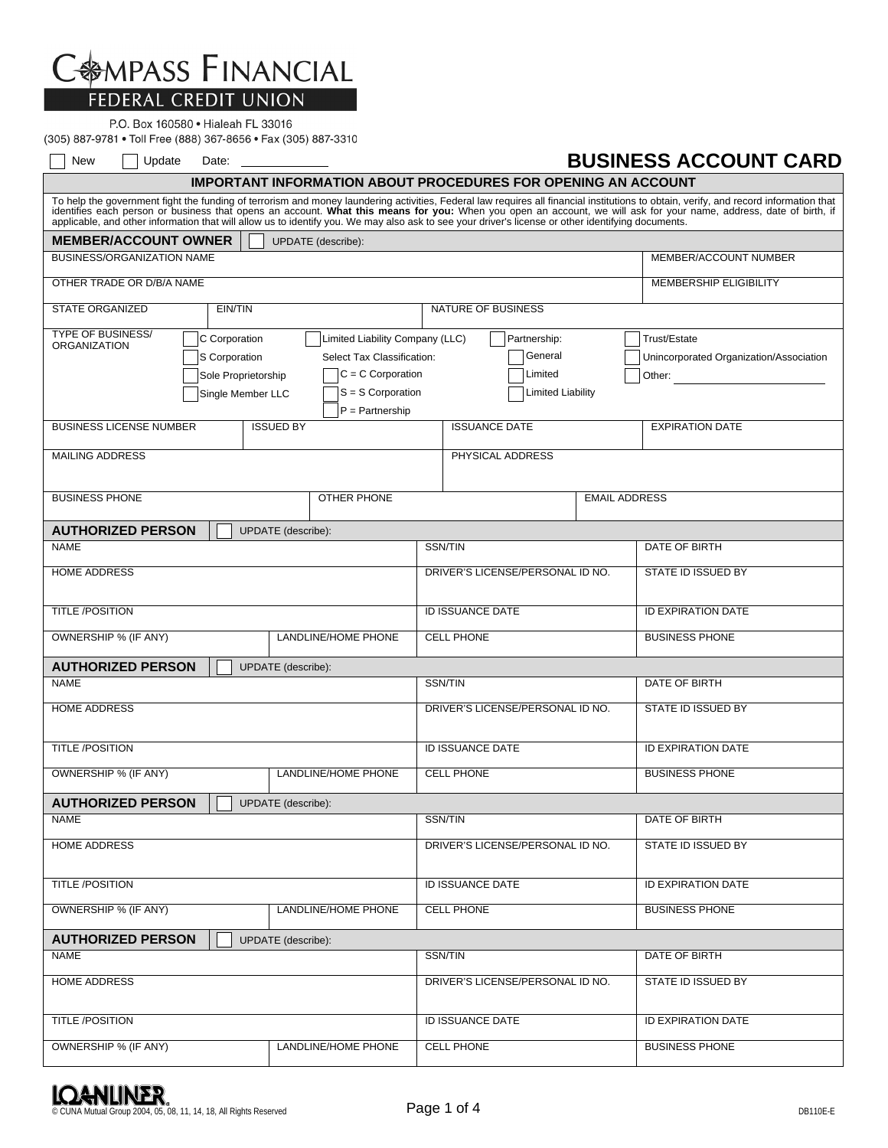# **COMPASS FINANCIAL**<br>FEDERAL CREDIT UNION

## P.O. Box 160580 . Hialeah FL 33016

(305) 887-9781 • Toll Free (888) 367-8656 • Fax (305) 887-3310

### New Update Date: **BUSINESS ACCOUNT CARD**

| <b>IMPORTANT INFORMATION ABOUT PROCEDURES FOR OPENING AN ACCOUNT</b>                                                                                                                                                                                                                                                                                                                                                    |                                                                                                                                  |                                                                |                                                                   |
|-------------------------------------------------------------------------------------------------------------------------------------------------------------------------------------------------------------------------------------------------------------------------------------------------------------------------------------------------------------------------------------------------------------------------|----------------------------------------------------------------------------------------------------------------------------------|----------------------------------------------------------------|-------------------------------------------------------------------|
| To help the government fight the funding of terrorism and money laundering activities, Federal law requires all financial institutions to obtain, verify, and record information that<br>identifies each person or business that opens an account. What this means for you: When you open an account, we will ask for your name, address, date of birth, if applicable, and other information that will allow us to ide |                                                                                                                                  |                                                                |                                                                   |
| <b>MEMBER/ACCOUNT OWNER</b>                                                                                                                                                                                                                                                                                                                                                                                             | UPDATE (describe):                                                                                                               |                                                                |                                                                   |
| <b>BUSINESS/ORGANIZATION NAME</b>                                                                                                                                                                                                                                                                                                                                                                                       |                                                                                                                                  |                                                                | MEMBER/ACCOUNT NUMBER                                             |
| OTHER TRADE OR D/B/A NAME                                                                                                                                                                                                                                                                                                                                                                                               |                                                                                                                                  |                                                                | <b>MEMBERSHIP ELIGIBILITY</b>                                     |
| <b>STATE ORGANIZED</b><br>EIN/TIN                                                                                                                                                                                                                                                                                                                                                                                       |                                                                                                                                  | NATURE OF BUSINESS                                             |                                                                   |
| <b>TYPE OF BUSINESS/</b><br>C Corporation<br><b>ORGANIZATION</b><br>S Corporation<br>Sole Proprietorship<br>Single Member LLC                                                                                                                                                                                                                                                                                           | Limited Liability Company (LLC)<br>Select Tax Classification:<br>$C = C$ Corporation<br>$S = S$ Corporation<br>$P =$ Partnership | Partnership:<br>General<br>Limited<br><b>Limited Liability</b> | Trust/Estate<br>Unincorporated Organization/Association<br>Other: |
| <b>BUSINESS LICENSE NUMBER</b>                                                                                                                                                                                                                                                                                                                                                                                          | <b>ISSUED BY</b>                                                                                                                 | <b>ISSUANCE DATE</b>                                           | <b>EXPIRATION DATE</b>                                            |
| <b>MAILING ADDRESS</b>                                                                                                                                                                                                                                                                                                                                                                                                  |                                                                                                                                  | PHYSICAL ADDRESS                                               |                                                                   |
| <b>BUSINESS PHONE</b>                                                                                                                                                                                                                                                                                                                                                                                                   | <b>OTHER PHONE</b>                                                                                                               |                                                                | <b>EMAIL ADDRESS</b>                                              |
| <b>AUTHORIZED PERSON</b>                                                                                                                                                                                                                                                                                                                                                                                                | <b>UPDATE</b> (describe):                                                                                                        |                                                                |                                                                   |
| <b>NAME</b>                                                                                                                                                                                                                                                                                                                                                                                                             |                                                                                                                                  | SSN/TIN                                                        | DATE OF BIRTH                                                     |
| <b>HOME ADDRESS</b>                                                                                                                                                                                                                                                                                                                                                                                                     |                                                                                                                                  | DRIVER'S LICENSE/PERSONAL ID NO.                               | STATE ID ISSUED BY                                                |
| <b>TITLE /POSITION</b>                                                                                                                                                                                                                                                                                                                                                                                                  |                                                                                                                                  | ID ISSUANCE DATE                                               | <b>ID EXPIRATION DATE</b>                                         |
| OWNERSHIP % (IF ANY)                                                                                                                                                                                                                                                                                                                                                                                                    | <b>LANDLINE/HOME PHONE</b>                                                                                                       | <b>CELL PHONE</b>                                              | <b>BUSINESS PHONE</b>                                             |
| <b>AUTHORIZED PERSON</b>                                                                                                                                                                                                                                                                                                                                                                                                | <b>UPDATE</b> (describe):                                                                                                        |                                                                |                                                                   |
| <b>NAME</b>                                                                                                                                                                                                                                                                                                                                                                                                             |                                                                                                                                  | SSN/TIN                                                        | DATE OF BIRTH                                                     |
| <b>HOME ADDRESS</b>                                                                                                                                                                                                                                                                                                                                                                                                     |                                                                                                                                  | DRIVER'S LICENSE/PERSONAL ID NO.                               | STATE ID ISSUED BY                                                |
| <b>TITLE /POSITION</b>                                                                                                                                                                                                                                                                                                                                                                                                  |                                                                                                                                  | <b>ID ISSUANCE DATE</b>                                        | <b>ID EXPIRATION DATE</b>                                         |
| OWNERSHIP % (IF ANY)                                                                                                                                                                                                                                                                                                                                                                                                    | LANDLINE/HOME PHONE                                                                                                              | <b>CELL PHONE</b>                                              | <b>BUSINESS PHONE</b>                                             |
| <b>AUTHORIZED PERSON</b>                                                                                                                                                                                                                                                                                                                                                                                                | UPDATE (describe):                                                                                                               |                                                                |                                                                   |
| <b>NAME</b>                                                                                                                                                                                                                                                                                                                                                                                                             |                                                                                                                                  | SSN/TIN                                                        | DATE OF BIRTH                                                     |
| <b>HOME ADDRESS</b>                                                                                                                                                                                                                                                                                                                                                                                                     |                                                                                                                                  | DRIVER'S LICENSE/PERSONAL ID NO.                               | STATE ID ISSUED BY                                                |
| <b>TITLE /POSITION</b>                                                                                                                                                                                                                                                                                                                                                                                                  |                                                                                                                                  | <b>ID ISSUANCE DATE</b>                                        | <b>ID EXPIRATION DATE</b>                                         |
| OWNERSHIP % (IF ANY)<br>LANDLINE/HOME PHONE                                                                                                                                                                                                                                                                                                                                                                             |                                                                                                                                  | <b>CELL PHONE</b>                                              | <b>BUSINESS PHONE</b>                                             |
| <b>AUTHORIZED PERSON</b><br><b>UPDATE</b> (describe):                                                                                                                                                                                                                                                                                                                                                                   |                                                                                                                                  |                                                                |                                                                   |
| <b>NAME</b>                                                                                                                                                                                                                                                                                                                                                                                                             |                                                                                                                                  | SSN/TIN                                                        | DATE OF BIRTH                                                     |
| <b>HOME ADDRESS</b>                                                                                                                                                                                                                                                                                                                                                                                                     |                                                                                                                                  | DRIVER'S LICENSE/PERSONAL ID NO.                               | STATE ID ISSUED BY                                                |
| <b>TITLE /POSITION</b>                                                                                                                                                                                                                                                                                                                                                                                                  |                                                                                                                                  | ID ISSUANCE DATE                                               | ID EXPIRATION DATE                                                |
| OWNERSHIP % (IF ANY)                                                                                                                                                                                                                                                                                                                                                                                                    | LANDLINE/HOME PHONE                                                                                                              | CELL PHONE                                                     | <b>BUSINESS PHONE</b>                                             |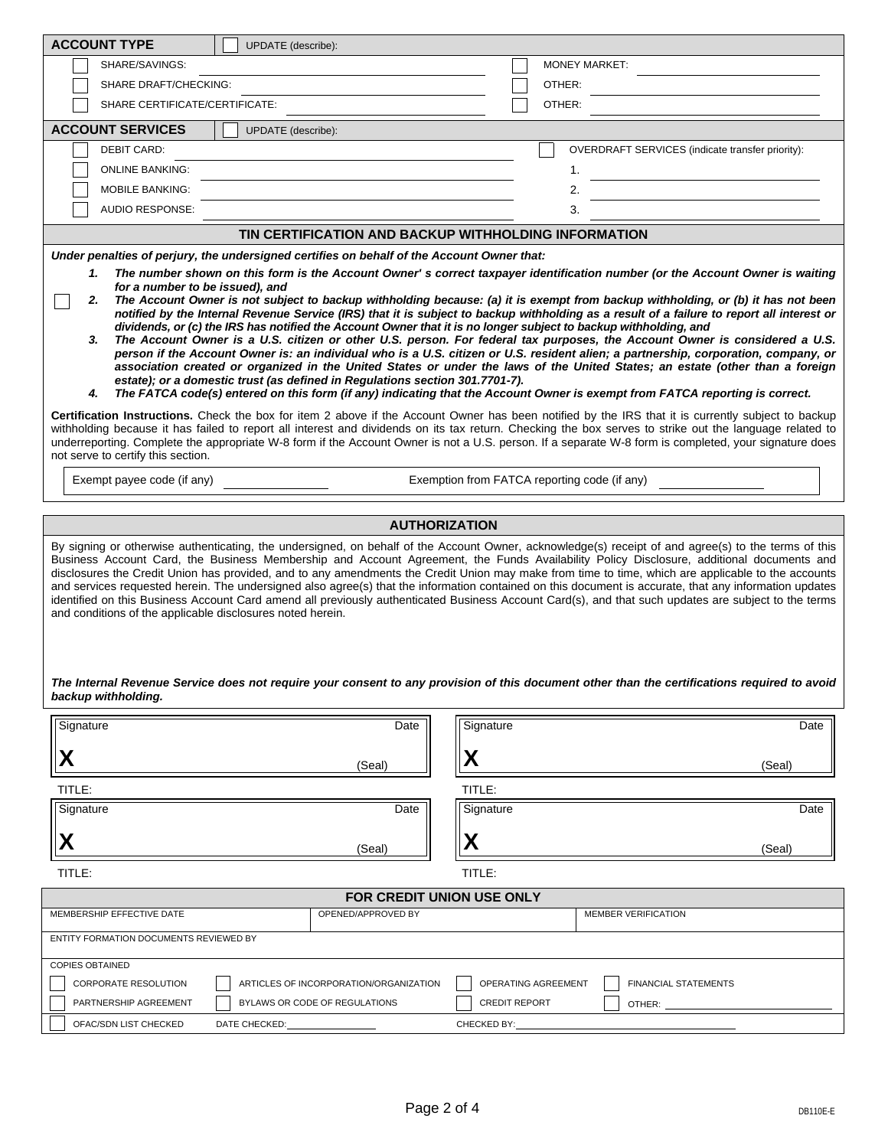| <b>ACCOUNT TYPE</b>                                                                                                                                                                                                                                                                                                                                                                                                                                                                                                                                                                                                                                                                                                                                                                                                                                                                                                                                                                                                                                                                                                                                                                                                                                                                                                                                      | UPDATE (describe):                                                                         |                      |                                                      |
|----------------------------------------------------------------------------------------------------------------------------------------------------------------------------------------------------------------------------------------------------------------------------------------------------------------------------------------------------------------------------------------------------------------------------------------------------------------------------------------------------------------------------------------------------------------------------------------------------------------------------------------------------------------------------------------------------------------------------------------------------------------------------------------------------------------------------------------------------------------------------------------------------------------------------------------------------------------------------------------------------------------------------------------------------------------------------------------------------------------------------------------------------------------------------------------------------------------------------------------------------------------------------------------------------------------------------------------------------------|--------------------------------------------------------------------------------------------|----------------------|------------------------------------------------------|
| SHARE/SAVINGS:                                                                                                                                                                                                                                                                                                                                                                                                                                                                                                                                                                                                                                                                                                                                                                                                                                                                                                                                                                                                                                                                                                                                                                                                                                                                                                                                           |                                                                                            |                      | <b>MONEY MARKET:</b>                                 |
| SHARE DRAFT/CHECKING:                                                                                                                                                                                                                                                                                                                                                                                                                                                                                                                                                                                                                                                                                                                                                                                                                                                                                                                                                                                                                                                                                                                                                                                                                                                                                                                                    |                                                                                            |                      | OTHER:                                               |
| SHARE CERTIFICATE/CERTIFICATE:                                                                                                                                                                                                                                                                                                                                                                                                                                                                                                                                                                                                                                                                                                                                                                                                                                                                                                                                                                                                                                                                                                                                                                                                                                                                                                                           |                                                                                            |                      | OTHER:                                               |
| <b>ACCOUNT SERVICES</b>                                                                                                                                                                                                                                                                                                                                                                                                                                                                                                                                                                                                                                                                                                                                                                                                                                                                                                                                                                                                                                                                                                                                                                                                                                                                                                                                  | UPDATE (describe):                                                                         |                      |                                                      |
| <b>DEBIT CARD:</b>                                                                                                                                                                                                                                                                                                                                                                                                                                                                                                                                                                                                                                                                                                                                                                                                                                                                                                                                                                                                                                                                                                                                                                                                                                                                                                                                       |                                                                                            |                      | OVERDRAFT SERVICES (indicate transfer priority):     |
| <b>ONLINE BANKING:</b>                                                                                                                                                                                                                                                                                                                                                                                                                                                                                                                                                                                                                                                                                                                                                                                                                                                                                                                                                                                                                                                                                                                                                                                                                                                                                                                                   |                                                                                            |                      | 1.                                                   |
| <b>MOBILE BANKING:</b>                                                                                                                                                                                                                                                                                                                                                                                                                                                                                                                                                                                                                                                                                                                                                                                                                                                                                                                                                                                                                                                                                                                                                                                                                                                                                                                                   |                                                                                            |                      | 2.                                                   |
| AUDIO RESPONSE:                                                                                                                                                                                                                                                                                                                                                                                                                                                                                                                                                                                                                                                                                                                                                                                                                                                                                                                                                                                                                                                                                                                                                                                                                                                                                                                                          |                                                                                            |                      | 3.                                                   |
|                                                                                                                                                                                                                                                                                                                                                                                                                                                                                                                                                                                                                                                                                                                                                                                                                                                                                                                                                                                                                                                                                                                                                                                                                                                                                                                                                          |                                                                                            |                      | TIN CERTIFICATION AND BACKUP WITHHOLDING INFORMATION |
|                                                                                                                                                                                                                                                                                                                                                                                                                                                                                                                                                                                                                                                                                                                                                                                                                                                                                                                                                                                                                                                                                                                                                                                                                                                                                                                                                          | Under penalties of perjury, the undersigned certifies on behalf of the Account Owner that: |                      |                                                      |
| dividends, or (c) the IRS has notified the Account Owner that it is no longer subject to backup withholding, and<br>The Account Owner is a U.S. citizen or other U.S. person. For federal tax purposes, the Account Owner is considered a U.S.<br>3.<br>person if the Account Owner is: an individual who is a U.S. citizen or U.S. resident alien; a partnership, corporation, company, or<br>association created or organized in the United States or under the laws of the United States; an estate (other than a foreign<br>estate); or a domestic trust (as defined in Regulations section 301.7701-7).<br>The FATCA code(s) entered on this form (if any) indicating that the Account Owner is exempt from FATCA reporting is correct.<br>4.<br><b>Certification Instructions.</b> Check the box for item 2 above if the Account Owner has been notified by the IRS that it is currently subject to backup<br>withholding because it has failed to report all interest and dividends on its tax return. Checking the box serves to strike out the language related to<br>underreporting. Complete the appropriate W-8 form if the Account Owner is not a U.S. person. If a separate W-8 form is completed, your signature does<br>not serve to certify this section.<br>Exempt payee code (if any)<br>Exemption from FATCA reporting code (if any) |                                                                                            |                      |                                                      |
|                                                                                                                                                                                                                                                                                                                                                                                                                                                                                                                                                                                                                                                                                                                                                                                                                                                                                                                                                                                                                                                                                                                                                                                                                                                                                                                                                          |                                                                                            |                      |                                                      |
|                                                                                                                                                                                                                                                                                                                                                                                                                                                                                                                                                                                                                                                                                                                                                                                                                                                                                                                                                                                                                                                                                                                                                                                                                                                                                                                                                          |                                                                                            | <b>AUTHORIZATION</b> |                                                      |
| By signing or otherwise authenticating, the undersigned, on behalf of the Account Owner, acknowledge(s) receipt of and agree(s) to the terms of this<br>Business Account Card, the Business Membership and Account Agreement, the Funds Availability Policy Disclosure, additional documents and<br>disclosures the Credit Union has provided, and to any amendments the Credit Union may make from time to time, which are applicable to the accounts<br>and services requested herein. The undersigned also agree(s) that the information contained on this document is accurate, that any information updates<br>identified on this Business Account Card amend all previously authenticated Business Account Card(s), and that such updates are subject to the terms<br>and conditions of the applicable disclosures noted herein.<br>The Internal Revenue Service does not require your consent to any provision of this document other than the certifications required to avoid<br>backup withholding.                                                                                                                                                                                                                                                                                                                                            |                                                                                            |                      |                                                      |
| Signature                                                                                                                                                                                                                                                                                                                                                                                                                                                                                                                                                                                                                                                                                                                                                                                                                                                                                                                                                                                                                                                                                                                                                                                                                                                                                                                                                |                                                                                            | Date                 | Signature<br>Date                                    |
|                                                                                                                                                                                                                                                                                                                                                                                                                                                                                                                                                                                                                                                                                                                                                                                                                                                                                                                                                                                                                                                                                                                                                                                                                                                                                                                                                          |                                                                                            |                      |                                                      |
|                                                                                                                                                                                                                                                                                                                                                                                                                                                                                                                                                                                                                                                                                                                                                                                                                                                                                                                                                                                                                                                                                                                                                                                                                                                                                                                                                          |                                                                                            |                      |                                                      |

| - 9.                                                                  |                    | - 9.9.                                                                                                                                                                                                                                                 |        |  |
|-----------------------------------------------------------------------|--------------------|--------------------------------------------------------------------------------------------------------------------------------------------------------------------------------------------------------------------------------------------------------|--------|--|
| 'X                                                                    | (Seal)             | Х                                                                                                                                                                                                                                                      | (Seal) |  |
| TITLE:                                                                |                    | TITLE:                                                                                                                                                                                                                                                 |        |  |
| Signature                                                             | Date               | Signature                                                                                                                                                                                                                                              | Date   |  |
|                                                                       |                    |                                                                                                                                                                                                                                                        |        |  |
| X                                                                     | (Seal)             | Χ                                                                                                                                                                                                                                                      | (Seal) |  |
| TITLE:                                                                |                    | TITLE:                                                                                                                                                                                                                                                 |        |  |
| <b>FOR CREDIT UNION USE ONLY</b>                                      |                    |                                                                                                                                                                                                                                                        |        |  |
| MEMBERSHIP EFFECTIVE DATE                                             | OPENED/APPROVED BY | <b>MEMBER VERIFICATION</b>                                                                                                                                                                                                                             |        |  |
| ENTITY FORMATION DOCUMENTS REVIEWED BY                                |                    |                                                                                                                                                                                                                                                        |        |  |
| <b>COPIES OBTAINED</b>                                                |                    |                                                                                                                                                                                                                                                        |        |  |
| <b>CORPORATE RESOLUTION</b><br>ARTICLES OF INCORPORATION/ORGANIZATION |                    | OPERATING AGREEMENT<br><b>FINANCIAL STATEMENTS</b>                                                                                                                                                                                                     |        |  |
| PARTNERSHIP AGREEMENT<br>BYLAWS OR CODE OF REGULATIONS                |                    | <b>CREDIT REPORT</b><br>OTHER: The contract of the contract of the contract of the contract of the contract of the contract of the contract of the contract of the contract of the contract of the contract of the contract of the contract of the con |        |  |
| OFAC/SDN LIST CHECKED<br>DATE CHECKED:                                |                    | CHECKED BY:                                                                                                                                                                                                                                            |        |  |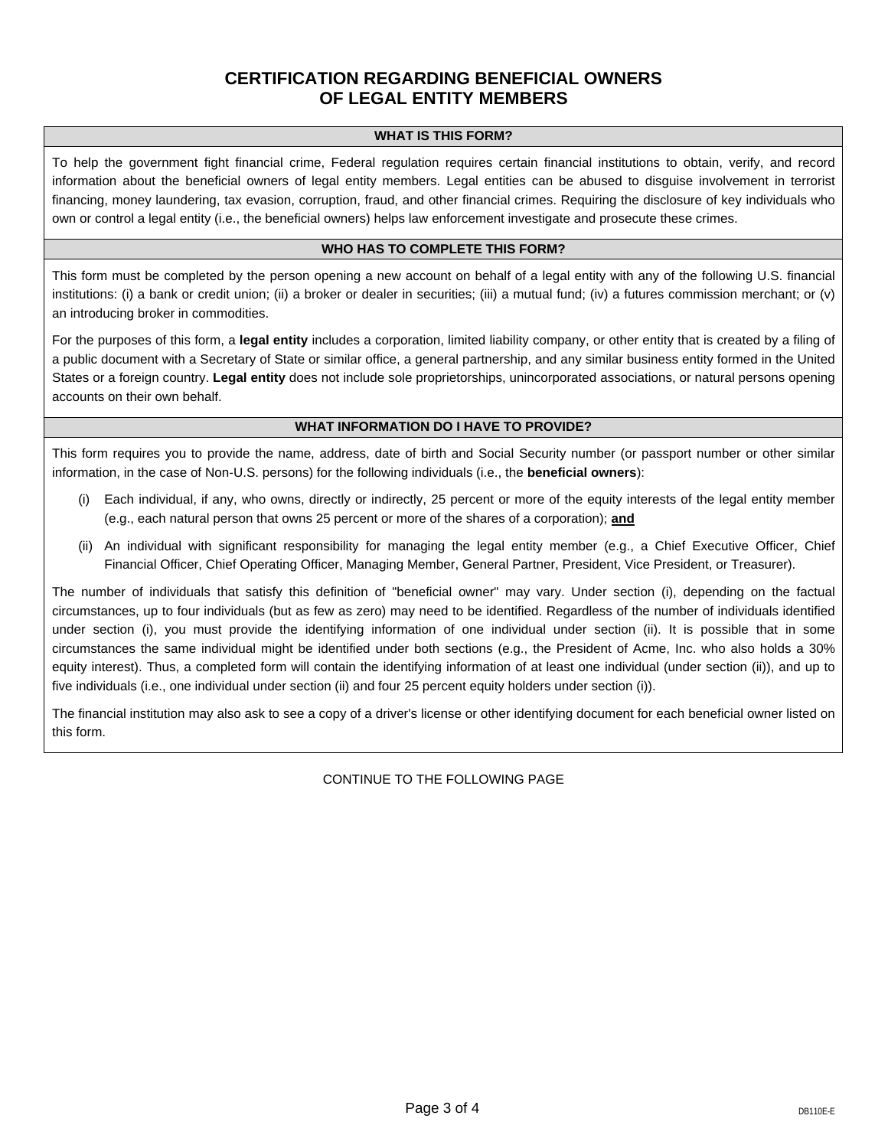#### **CERTIFICATION REGARDING BENEFICIAL OWNERS OF LEGAL ENTITY MEMBERS**

#### **WHAT IS THIS FORM?**

To help the government fight financial crime, Federal regulation requires certain financial institutions to obtain, verify, and record information about the beneficial owners of legal entity members. Legal entities can be abused to disguise involvement in terrorist financing, money laundering, tax evasion, corruption, fraud, and other financial crimes. Requiring the disclosure of key individuals who own or control a legal entity (i.e., the beneficial owners) helps law enforcement investigate and prosecute these crimes.

#### **WHO HAS TO COMPLETE THIS FORM?**

This form must be completed by the person opening a new account on behalf of a legal entity with any of the following U.S. financial institutions: (i) a bank or credit union; (ii) a broker or dealer in securities; (iii) a mutual fund; (iv) a futures commission merchant; or (v) an introducing broker in commodities.

For the purposes of this form, a **legal entity** includes a corporation, limited liability company, or other entity that is created by a filing of a public document with a Secretary of State or similar office, a general partnership, and any similar business entity formed in the United States or a foreign country. **Legal entity** does not include sole proprietorships, unincorporated associations, or natural persons opening accounts on their own behalf.

#### **WHAT INFORMATION DO I HAVE TO PROVIDE?**

This form requires you to provide the name, address, date of birth and Social Security number (or passport number or other similar information, in the case of Non-U.S. persons) for the following individuals (i.e., the **beneficial owners**):

- Each individual, if any, who owns, directly or indirectly, 25 percent or more of the equity interests of the legal entity member (e.g., each natural person that owns 25 percent or more of the shares of a corporation); **and**
- (ii) An individual with significant responsibility for managing the legal entity member (e.g., a Chief Executive Officer, Chief Financial Officer, Chief Operating Officer, Managing Member, General Partner, President, Vice President, or Treasurer).

The number of individuals that satisfy this definition of "beneficial owner" may vary. Under section (i), depending on the factual circumstances, up to four individuals (but as few as zero) may need to be identified. Regardless of the number of individuals identified under section (i), you must provide the identifying information of one individual under section (ii). It is possible that in some circumstances the same individual might be identified under both sections (e.g., the President of Acme, Inc. who also holds a 30% equity interest). Thus, a completed form will contain the identifying information of at least one individual (under section (ii)), and up to five individuals (i.e., one individual under section (ii) and four 25 percent equity holders under section (i)).

The financial institution may also ask to see a copy of a driver's license or other identifying document for each beneficial owner listed on this form.

#### CONTINUE TO THE FOLLOWING PAGE